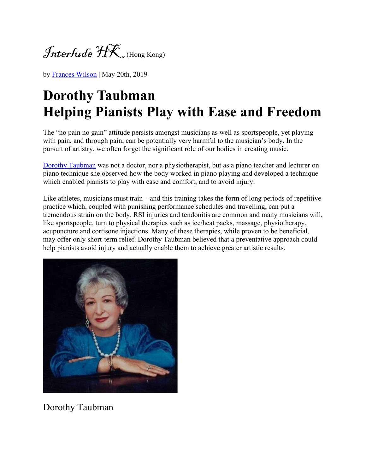

by [Frances Wilson](http://www.interlude.hk/front/about/contributors/about-frances-wilson) | May 20th, 2019

## **Dorothy Taubman Helping Pianists Play with Ease and Freedom**

The "no pain no gain" attitude persists amongst musicians as well as sportspeople, yet playing with pain, and through pain, can be potentially very harmful to the musician's body. In the pursuit of artistry, we often forget the significant role of our bodies in creating music.

[Dorothy Taubman](https://en.wikipedia.org/wiki/Dorothy_Taubman) was not a doctor, nor a physiotherapist, but as a piano teacher and lecturer on piano technique she observed how the body worked in piano playing and developed a technique which enabled pianists to play with ease and comfort, and to avoid injury.

Like athletes, musicians must train – and this training takes the form of long periods of repetitive practice which, coupled with punishing performance schedules and travelling, can put a tremendous strain on the body. RSI injuries and tendonitis are common and many musicians will, like sportspeople, turn to physical therapies such as ice/heat packs, massage, physiotherapy, acupuncture and cortisone injections. Many of these therapies, while proven to be beneficial, may offer only short-term relief. Dorothy Taubman believed that a preventative approach could help pianists avoid injury and actually enable them to achieve greater artistic results.



Dorothy Taubman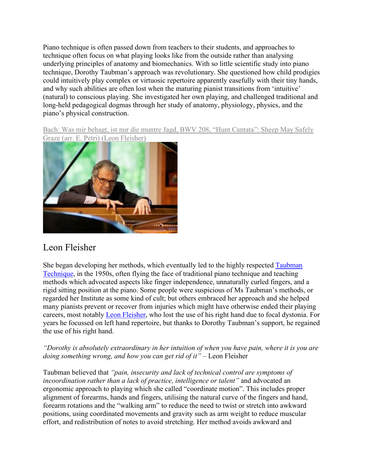Piano technique is often passed down from teachers to their students, and approaches to technique often focus on what playing looks like from the outside rather than analysing underlying principles of anatomy and biomechanics. With so little scientific study into piano technique, Dorothy Taubman's approach was revolutionary. She questioned how child prodigies could intuitively play complex or virtuosic repertoire apparently easefully with their tiny hands, and why such abilities are often lost when the maturing pianist transitions from 'intuitive' (natural) to conscious playing. She investigated her own playing, and challenged traditional and long-held pedagogical dogmas through her study of anatomy, physiology, physics, and the piano's physical construction.

[Bach: Was mir behagt, ist nur die muntre Jagd, BWV 208, "Hunt Cantata": Sheep May Safely](http://www.interlude.hk/front/dorothy-taubman-helping-pianists-play-ease-freedom/)  [Graze \(arr. E. Petri\) \(Leon Fleisher\)](http://www.interlude.hk/front/dorothy-taubman-helping-pianists-play-ease-freedom/)



## Leon Fleisher

She began developing her methods, which eventually led to the highly respected [Taubman](http://www.wellbalancedpianist.com/bptaubman.htm)  [Technique,](http://www.wellbalancedpianist.com/bptaubman.htm) in the 1950s, often flying the face of traditional piano technique and teaching methods which advocated aspects like finger independence, unnaturally curled fingers, and a rigid sitting position at the piano. Some people were suspicious of Ms Taubman's methods, or regarded her Institute as some kind of cult; but others embraced her approach and she helped many pianists prevent or recover from injuries which might have otherwise ended their playing careers, most notably [Leon Fleisher,](https://en.wikipedia.org/wiki/Leon_Fleisher) who lost the use of his right hand due to focal dystonia. For years he focussed on left hand repertoire, but thanks to Dorothy Taubman's support, he regained the use of his right hand.

*"Dorothy is absolutely extraordinary in her intuition of when you have pain, where it is you are doing something wrong, and how you can get rid of it"* – Leon Fleisher

Taubman believed that *"pain, insecurity and lack of technical control are symptoms of incoordination rather than a lack of practice, intelligence or talent"* and advocated an ergonomic approach to playing which she called "coordinate motion". This includes proper alignment of forearms, hands and fingers, utilising the natural curve of the fingers and hand, forearm rotations and the "walking arm" to reduce the need to twist or stretch into awkward positions, using coordinated movements and gravity such as arm weight to reduce muscular effort, and redistribution of notes to avoid stretching. Her method avoids awkward and